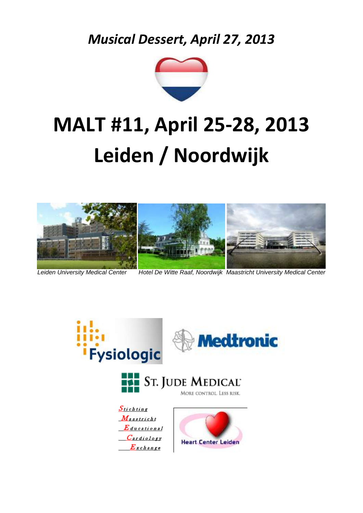*Musical Dessert, April 27, 2013*



## **MALT #11, April 25-28, 2013 Leiden / Noordwijk**



*Leiden University Medical Center Hotel De Witte Raaf, Noordwijk Maastricht University Medical Center*

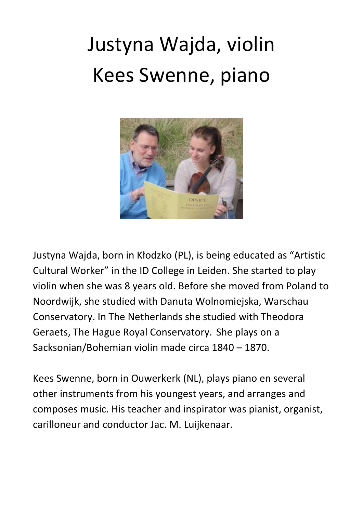## Justyna Wajda, violin Kees Swenne, piano



Justyna Wajda, born in Kłodzko (PL), is being educated as "Artistic Cultural Worker" in the ID College in Leiden. She started to play violin when she was 8 years old. Before she moved from Poland to Noordwijk, she studied with Danuta Wolnomiejska, Warschau Conservatory. In The Netherlands she studied with Theodora Geraets, The Hague Royal Conservatory. She plays on a Sacksonian/Bohemian violin made circa 1840 – 1870.

Kees Swenne, born in Ouwerkerk (NL), plays piano en several other instruments from his youngest years, and arranges and composes music. His teacher and inspirator was pianist, organist, carilloneur and conductor Jac. M. Luijkenaar.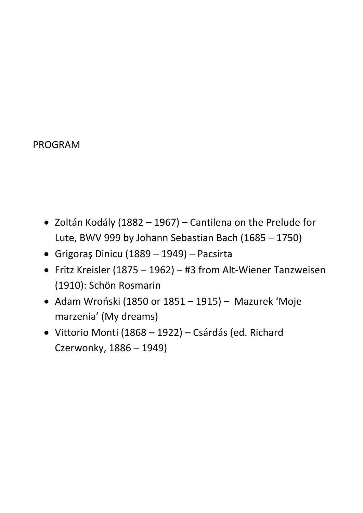## PROGRAM

- Zoltán Kodály (1882 1967) Cantilena on the Prelude for Lute, BWV 999 by Johann Sebastian Bach (1685 – 1750)
- Grigoraş Dinicu (1889 1949) Pacsirta
- Fritz Kreisler (1875 1962) #3 from Alt-Wiener Tanzweisen (1910): Schön Rosmarin
- Adam Wroński (1850 or 1851 1915) Mazurek 'Moje marzenia' (My dreams)
- Vittorio Monti (1868 1922) Csárdás (ed. Richard Czerwonky, 1886 – 1949)